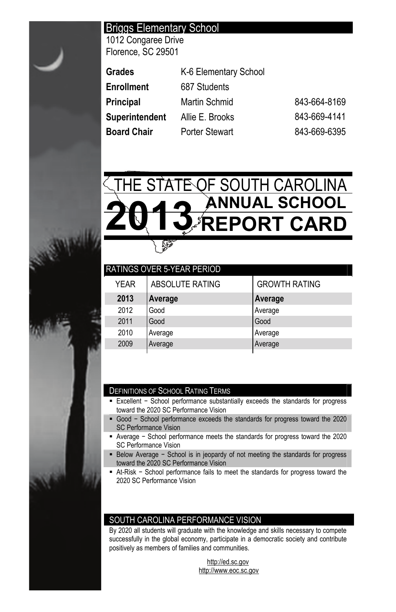# Briggs Elementary School

1012 Congaree Drive Florence, SC 29501

| Grades                | K-6 Elementary School |              |
|-----------------------|-----------------------|--------------|
| Enrollment            | 687 Students          |              |
| Principal             | Martin Schmid         | 843-664-8169 |
| <b>Superintendent</b> | Allie E. Brooks       | 843-669-4141 |
| Board Chair           | <b>Porter Stewart</b> | 843-669-6395 |



| ABSOLUTE RATING | <b>GROWTH RATING</b>              |
|-----------------|-----------------------------------|
| Average         | Average                           |
| Good            | Average                           |
| Good            | Good                              |
| Average         | Average                           |
| Average         | Average                           |
|                 | <b>RATINGS OVER 5-YEAR PERIOD</b> |

# DEFINITIONS OF SCHOOL RATING TERMS

- Excellent School performance substantially exceeds the standards for progress toward the 2020 SC Performance Vision
- Good School performance exceeds the standards for progress toward the 2020 SC Performance Vision
- Average School performance meets the standards for progress toward the 2020 SC Performance Vision
- Below Average School is in jeopardy of not meeting the standards for progress toward the 2020 SC Performance Vision
- At-Risk School performance fails to meet the standards for progress toward the 2020 SC Performance Vision

# SOUTH CAROLINA PERFORMANCE VISION

By 2020 all students will graduate with the knowledge and skills necessary to compete successfully in the global economy, participate in a democratic society and contribute positively as members of families and communities.

> http://ed.sc.gov http://www.eoc.sc.gov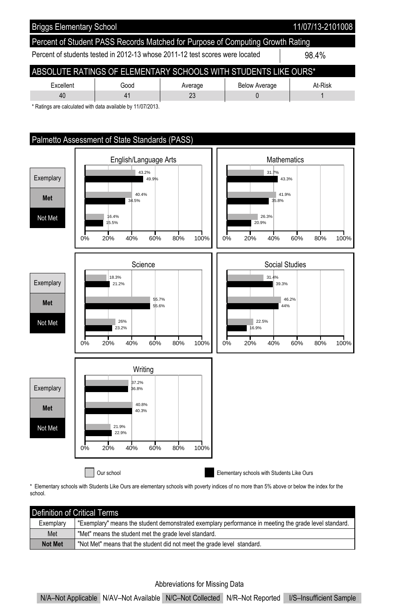



\* Elementary schools with Students Like Ours are elementary schools with poverty indices of no more than 5% above or below the index for the school.

| l Definition of Critical Terms |                                                                                                       |  |  |  |  |  |
|--------------------------------|-------------------------------------------------------------------------------------------------------|--|--|--|--|--|
| Exemplary                      | "Exemplary" means the student demonstrated exemplary performance in meeting the grade level standard. |  |  |  |  |  |
| Met                            | "Met" means the student met the grade level standard.                                                 |  |  |  |  |  |
| <b>Not Met</b>                 | "Not Met" means that the student did not meet the grade level standard.                               |  |  |  |  |  |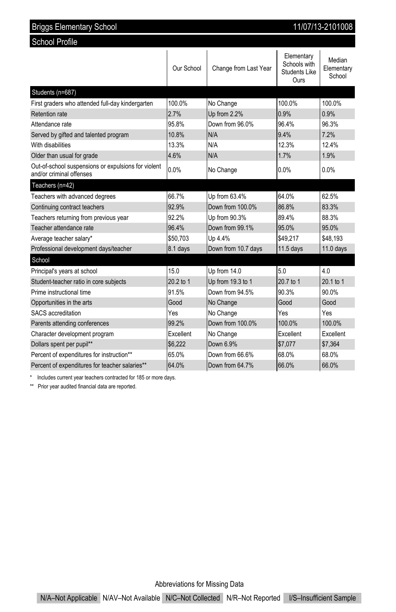| 11/07/13-2101008<br><b>Briggs Elementary School</b>                             |            |                       |                                                            |                                |  |  |  |
|---------------------------------------------------------------------------------|------------|-----------------------|------------------------------------------------------------|--------------------------------|--|--|--|
| <b>School Profile</b>                                                           |            |                       |                                                            |                                |  |  |  |
|                                                                                 | Our School | Change from Last Year | Elementary<br>Schools with<br><b>Students Like</b><br>Ours | Median<br>Elementary<br>School |  |  |  |
| Students (n=687)                                                                |            |                       |                                                            |                                |  |  |  |
| First graders who attended full-day kindergarten                                | 100.0%     | No Change             | 100.0%                                                     | 100.0%                         |  |  |  |
| Retention rate                                                                  | 2.7%       | Up from 2.2%          | 0.9%                                                       | 0.9%                           |  |  |  |
| Attendance rate                                                                 | 95.8%      | Down from 96.0%       | 96.4%                                                      | 96.3%                          |  |  |  |
| Served by gifted and talented program                                           | 10.8%      | N/A                   | 9.4%                                                       | 7.2%                           |  |  |  |
| With disabilities                                                               | 13.3%      | N/A                   | 12.3%                                                      | 12.4%                          |  |  |  |
| Older than usual for grade                                                      | 4.6%       | N/A                   | 1.7%                                                       | 1.9%                           |  |  |  |
| Out-of-school suspensions or expulsions for violent<br>and/or criminal offenses | 0.0%       | No Change             | 0.0%                                                       | 0.0%                           |  |  |  |
| Teachers (n=42)                                                                 |            |                       |                                                            |                                |  |  |  |
| Teachers with advanced degrees                                                  | 66.7%      | Up from 63.4%         | 64.0%                                                      | 62.5%                          |  |  |  |
| Continuing contract teachers                                                    | 92.9%      | Down from 100.0%      | 86.8%                                                      | 83.3%                          |  |  |  |
| Teachers returning from previous year                                           | 92.2%      | Up from 90.3%         | 89.4%                                                      | 88.3%                          |  |  |  |
| Teacher attendance rate                                                         | 96.4%      | Down from 99.1%       | 95.0%                                                      | 95.0%                          |  |  |  |
| Average teacher salary*                                                         | \$50,703   | Up 4.4%               | \$49,217                                                   | \$48,193                       |  |  |  |
| Professional development days/teacher                                           | 8.1 days   | Down from 10.7 days   | $11.5$ days                                                | $11.0$ days                    |  |  |  |
| School                                                                          |            |                       |                                                            |                                |  |  |  |
| Principal's years at school                                                     | 15.0       | Up from 14.0          | 50                                                         | 40                             |  |  |  |
| Student-teacher ratio in core subjects                                          | 20.2 to 1  | Up from 19.3 to 1     | 20.7 to 1                                                  | 20.1 to 1                      |  |  |  |
| Prime instructional time                                                        | 91.5%      | Down from 94.5%       | 90.3%                                                      | 90.0%                          |  |  |  |
| Opportunities in the arts                                                       | Good       | No Change             | Good                                                       | Good                           |  |  |  |
| SACS accreditation                                                              | Yes        | No Change             | Yes                                                        | Yes                            |  |  |  |
| Parents attending conferences                                                   | 99.2%      | Down from 100.0%      | 100.0%                                                     | 100.0%                         |  |  |  |
| Character development program                                                   | Excellent  | No Change             | Excellent                                                  | Excellent                      |  |  |  |
| Dollars spent per pupil**                                                       | \$6.222    | Down 6.9%             | \$7.077                                                    | \$7.364                        |  |  |  |
| Percent of expenditures for instruction**                                       | 65.0%      | Down from 66.6%       | 68.0%                                                      | 68.0%                          |  |  |  |
| Percent of expenditures for teacher salaries**                                  | 64.0%      | Down from 64.7%       | 66.0%                                                      | 66.0%                          |  |  |  |

\* Includes current year teachers contracted for 185 or more days.

\*\* Prior year audited financial data are reported.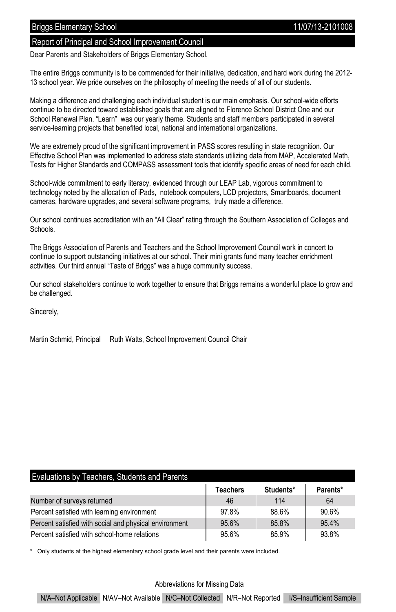### Report of Principal and School Improvement Council

Dear Parents and Stakeholders of Briggs Elementary School,

The entire Briggs community is to be commended for their initiative, dedication, and hard work during the 2012- 13 school year. We pride ourselves on the philosophy of meeting the needs of all of our students.

Making a difference and challenging each individual student is our main emphasis. Our school-wide efforts continue to be directed toward established goals that are aligned to Florence School District One and our School Renewal Plan. "Learn" was our yearly theme. Students and staff members participated in several service-learning projects that benefited local, national and international organizations.

We are extremely proud of the significant improvement in PASS scores resulting in state recognition. Our Effective School Plan was implemented to address state standards utilizing data from MAP, Accelerated Math, Tests for Higher Standards and COMPASS assessment tools that identify specific areas of need for each child.

School-wide commitment to early literacy, evidenced through our LEAP Lab, vigorous commitment to technology noted by the allocation of iPads, notebook computers, LCD projectors, Smartboards, document cameras, hardware upgrades, and several software programs, truly made a difference.

Our school continues accreditation with an "All Clear" rating through the Southern Association of Colleges and **Schools** 

The Briggs Association of Parents and Teachers and the School Improvement Council work in concert to continue to support outstanding initiatives at our school. Their mini grants fund many teacher enrichment activities. Our third annual "Taste of Briggs" was a huge community success.

Our school stakeholders continue to work together to ensure that Briggs remains a wonderful place to grow and be challenged.

Sincerely,

Martin Schmid, Principal Ruth Watts, School Improvement Council Chair

## Evaluations by Teachers, Students and Parents

|                                                        | <b>Teachers</b> | Students* | Parents* |
|--------------------------------------------------------|-----------------|-----------|----------|
| Number of surveys returned                             | 46              | 114       | 64       |
| Percent satisfied with learning environment            | 97.8%           | 88.6%     | 90.6%    |
| Percent satisfied with social and physical environment | 95.6%           | 85.8%     | 95.4%    |
| Percent satisfied with school-home relations           | 95.6%           | 85.9%     | 93.8%    |

Only students at the highest elementary school grade level and their parents were included.

#### Abbreviations for Missing Data

N/A–Not Applicable N/AV–Not Available N/C–Not Collected N/R–Not Reported I/S–Insufficient Sample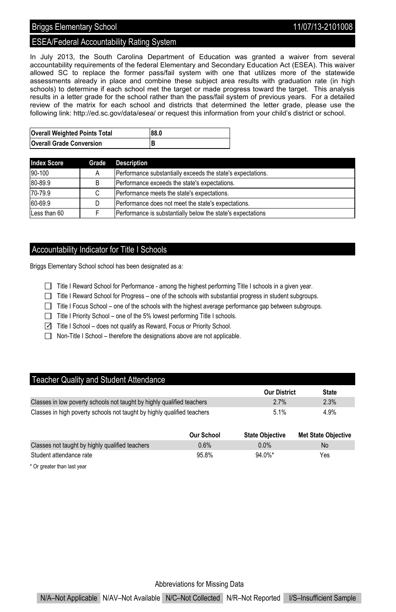# Briggs Elementary School 2008 2009 11/07/13-2101008

# ESEA/Federal Accountability Rating System

In July 2013, the South Carolina Department of Education was granted a waiver from several accountability requirements of the federal Elementary and Secondary Education Act (ESEA). This waiver allowed SC to replace the former pass/fail system with one that utilizes more of the statewide assessments already in place and combine these subject area results with graduation rate (in high schools) to determine if each school met the target or made progress toward the target. This analysis results in a letter grade for the school rather than the pass/fail system of previous years. For a detailed review of the matrix for each school and districts that determined the letter grade, please use the following link: http://ed.sc.gov/data/esea/ or request this information from your child's district or school.

| <b>Overall Weighted Points Total</b> | 88.0 |
|--------------------------------------|------|
| <b>Overall Grade Conversion</b>      |      |

| <b>Index Score</b> | Grade | <b>Description</b>                                          |
|--------------------|-------|-------------------------------------------------------------|
| 90-100             | Α     | Performance substantially exceeds the state's expectations. |
| 80-89.9            | B     | Performance exceeds the state's expectations.               |
| 70-79.9            |       | Performance meets the state's expectations.                 |
| 60-69.9            |       | Performance does not meet the state's expectations.         |
| Less than 60       |       | Performance is substantially below the state's expectations |

# Accountability Indicator for Title I Schools

Briggs Elementary School school has been designated as a:

- Title I Reward School for Performance among the highest performing Title I schools in a given year.
- Title I Reward School for Progress one of the schools with substantial progress in student subgroups.
- $\Box$  Title I Focus School one of the schools with the highest average performance gap between subgroups.
- Title I Priority School one of the 5% lowest performing Title I schools.
- ✓ Title I School does not qualify as Reward, Focus or Priority School.
- $\Box$  Non-Title I School therefore the designations above are not applicable.

#### Teacher Quality and Student Attendance

|                                                                         | <b>Our District</b> | <b>State</b> |
|-------------------------------------------------------------------------|---------------------|--------------|
| Classes in low poverty schools not taught by highly qualified teachers  | 2.7%                | 2.3%         |
| Classes in high poverty schools not taught by highly qualified teachers | 5.1%                | 4.9%         |

|                                                 | Our School | <b>State Obiective</b> | <b>Met State Objective</b> |
|-------------------------------------------------|------------|------------------------|----------------------------|
| Classes not taught by highly qualified teachers | 0.6%       | $0.0\%$                | No                         |
| Student attendance rate                         | 95.8%      | $94.0\%$ *             | Yes                        |

\* Or greater than last year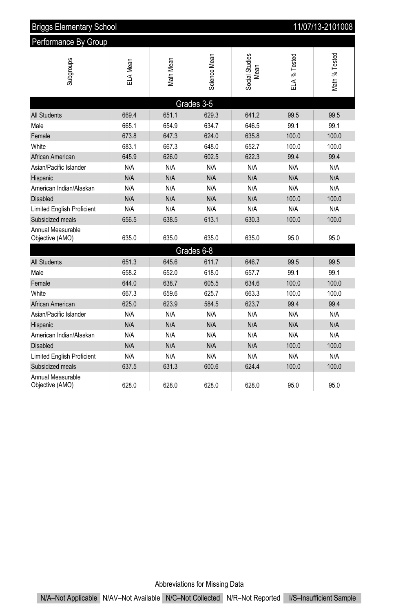| 11/07/13-2101008<br><b>Briggs Elementary School</b> |          |                   |              |                        |              |                |
|-----------------------------------------------------|----------|-------------------|--------------|------------------------|--------------|----------------|
| Performance By Group                                |          |                   |              |                        |              |                |
| Subgroups                                           | ELA Mean | <b>Vlath Mean</b> | Science Mean | Social Studies<br>Mean | ELA % Tested | Vlath % Tested |
|                                                     |          |                   | Grades 3-5   |                        |              |                |
| <b>All Students</b>                                 | 669.4    | 651.1             | 629.3        | 641.2                  | 99.5         | 99.5           |
| Male                                                | 665.1    | 654.9             | 634.7        | 646.5                  | 99.1         | 99.1           |
| Female                                              | 673.8    | 647.3             | 624.0        | 635.8                  | 100.0        | 100.0          |
| White                                               | 683.1    | 667.3             | 648.0        | 652.7                  | 100.0        | 100.0          |
| African American                                    | 645.9    | 626.0             | 602.5        | 622.3                  | 99.4         | 99.4           |
| Asian/Pacific Islander                              | N/A      | N/A               | N/A          | N/A                    | N/A          | N/A            |
| Hispanic                                            | N/A      | N/A               | N/A          | N/A                    | N/A          | N/A            |
| American Indian/Alaskan                             | N/A      | N/A               | N/A          | N/A                    | N/A          | N/A            |
| <b>Disabled</b>                                     | N/A      | N/A               | N/A          | N/A                    | 100.0        | 100.0          |
| <b>Limited English Proficient</b>                   | N/A      | N/A               | N/A          | N/A                    | N/A          | N/A            |
| Subsidized meals                                    | 656.5    | 638.5             | 613.1        | 630.3                  | 100.0        | 100.0          |
| Annual Measurable<br>Objective (AMO)                | 635.0    | 635.0             | 635.0        | 635.0                  | 95.0         | 95.0           |
|                                                     |          |                   | Grades 6-8   |                        |              |                |
| <b>All Students</b>                                 | 651.3    | 645.6             | 611.7        | 646.7                  | 99.5         | 99.5           |
| Male                                                | 658.2    | 652.0             | 618.0        | 657.7                  | 99.1         | 99.1           |
| Female                                              | 644.0    | 638.7             | 605.5        | 634.6                  | 100.0        | 100.0          |
| White                                               | 667.3    | 659.6             | 625.7        | 663.3                  | 100.0        | 100.0          |
| African American                                    | 625.0    | 623.9             | 584.5        | 623.7                  | 99.4         | 99.4           |
| Asian/Pacific Islander                              | N/A      | N/A               | N/A          | N/A                    | N/A          | N/A            |
| Hispanic                                            | N/A      | N/A               | N/A          | N/A                    | N/A          | N/A            |
| American Indian/Alaskan                             | N/A      | N/A               | N/A          | N/A                    | N/A          | N/A            |
| Disabled                                            | N/A      | N/A               | N/A          | N/A                    | 100.0        | 100.0          |
| Limited English Proficient                          | N/A      | N/A               | N/A          | N/A                    | N/A          | N/A            |
| Subsidized meals                                    | 637.5    | 631.3             | 600.6        | 624.4                  | 100.0        | 100.0          |
| Annual Measurable<br>Objective (AMO)                | 628.0    | 628.0             | 628.0        | 628.0                  | 95.0         | 95.0           |

Abbreviations for Missing Data

N/A–Not Applicable N/AV–Not Available N/C–Not Collected N/R–Not Reported I/S–Insufficient Sample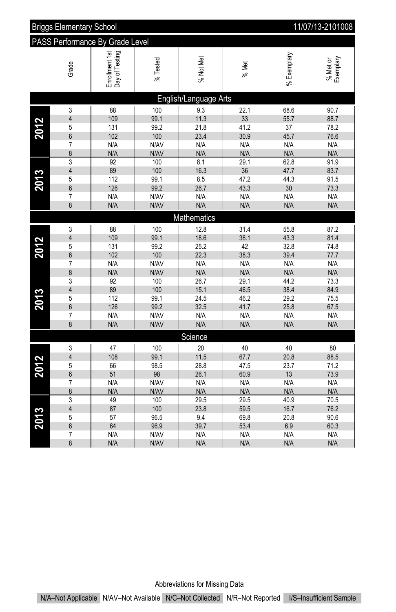|                                 | 11/07/13-2101008<br><b>Briggs Elementary School</b> |                                  |             |                       |             |              |                       |
|---------------------------------|-----------------------------------------------------|----------------------------------|-------------|-----------------------|-------------|--------------|-----------------------|
| PASS Performance By Grade Level |                                                     |                                  |             |                       |             |              |                       |
|                                 | Grade                                               | Enrollment 1st<br>Day of Testing | % Tested    | % Not Met             | % Met       | % Exemplary  | % Met or<br>Exemplary |
|                                 |                                                     |                                  |             | English/Language Arts |             |              |                       |
|                                 | 3                                                   | 88                               | 100         | 9.3                   | 22.1        | 68.6         | 90.7                  |
|                                 | $\overline{4}$                                      | 109                              | 99.1        | 11.3                  | 33          | 55.7         | 88.7                  |
| 2012                            | 5                                                   | 131                              | 99.2        | 21.8                  | 41.2        | 37           | 78.2                  |
|                                 | 6                                                   | 102                              | 100         | 23.4                  | 30.9        | 45.7         | 76.6                  |
|                                 | 7                                                   | N/A                              | N/AV        | N/A                   | N/A         | N/A          | N/A                   |
|                                 | 8                                                   | N/A<br>$\overline{92}$           | N/AV        | N/A<br>8.1            | N/A         | N/A          | N/A                   |
|                                 | 3<br>$\overline{\mathbf{4}}$                        | 89                               | 100<br>100  | 16.3                  | 29.1<br>36  | 62.8<br>47.7 | 91.9<br>83.7          |
| 2013                            | 5                                                   | 112                              | 99.1        | 8.5                   | 47.2        | 44.3         | 91.5                  |
|                                 | 6                                                   | 126                              | 99.2        | 26.7                  | 43.3        | 30           | 73.3                  |
|                                 | 7                                                   | N/A                              | N/AV        | N/A                   | N/A         | N/A          | N/A                   |
|                                 | 8                                                   | N/A                              | N/AV        | N/A                   | N/A         | N/A          | N/A                   |
|                                 |                                                     |                                  |             | Mathematics           |             |              |                       |
|                                 | 3                                                   | 88                               | 100         | 12.8                  | 31.4        | 55.8         | 87.2                  |
|                                 | $\overline{4}$                                      | 109                              | 99.1        | 18.6                  | 38.1        | 43.3         | 81.4                  |
|                                 | 5                                                   | 131                              | 99.2        | 25.2                  | 42          | 32.8         | 74.8                  |
| 2012                            | 6                                                   | 102                              | 100         | 22.3                  | 38.3        | 39.4         | 77.7                  |
|                                 | $\overline{7}$                                      | N/A                              | N/AV        | N/A                   | N/A         | N/A          | N/A                   |
|                                 | 8                                                   | N/A                              | N/AV        | N/A                   | N/A         | N/A          | N/A                   |
|                                 | 3                                                   | 92                               | 100         | 26.7                  | 29.1        | 44.2         | 73.3                  |
|                                 | $\overline{\mathbf{4}}$                             | 89                               | 100         | 15.1                  | 46.5        | 38.4         | 84.9                  |
| 2013                            | 5                                                   | 112                              | 99.1        | 24.5                  | 46.2        | 29.2         | 75.5                  |
|                                 | 6                                                   | 126                              | 99.2        | 32.5                  | 41.7        | 25.8         | 67.5                  |
|                                 | $\overline{7}$                                      | N/A                              | N/AV        | N/A                   | N/A         | N/A          | N/A                   |
|                                 | 8                                                   | N/A                              | N/AV        | N/A                   | N/A         | N/A          | N/A                   |
|                                 |                                                     |                                  |             | Science               |             |              |                       |
|                                 | 3                                                   | 47                               | 100         | 20                    | 40          | 40           | 80                    |
|                                 | $\overline{\mathbf{4}}$                             | 108                              | 99.1        | 11.5                  | 67.7        | 20.8         | 88.5                  |
| 2012                            | 5                                                   | 66                               | 98.5        | 28.8                  | 47.5        | 23.7         | 71.2                  |
|                                 | 6                                                   | 51                               | 98          | 26.1                  | 60.9        | 13           | 73.9                  |
|                                 | 7                                                   | N/A                              | N/AV        | N/A<br>N/A            | N/A         | N/A          | N/A                   |
|                                 | $\delta$<br>3                                       | N/A<br>49                        | N/AV<br>100 | 29.5                  | N/A<br>29.5 | N/A<br>40.9  | N/A<br>70.5           |
|                                 | $\overline{\mathbf{4}}$                             | 87                               | 100         | 23.8                  | 59.5        | 16.7         | 76.2                  |
|                                 | 5                                                   | 57                               | 96.5        | 9.4                   | 69.8        | 20.8         | 90.6                  |
| 2013                            | 6                                                   | 64                               | 96.9        | 39.7                  | 53.4        | 6.9          | 60.3                  |
|                                 | 7                                                   | N/A                              | N/AV        | N/A                   | N/A         | N/A          | N/A                   |
|                                 | 8                                                   | N/A                              | N/AV        | N/A                   | N/A         | N/A          | N/A                   |